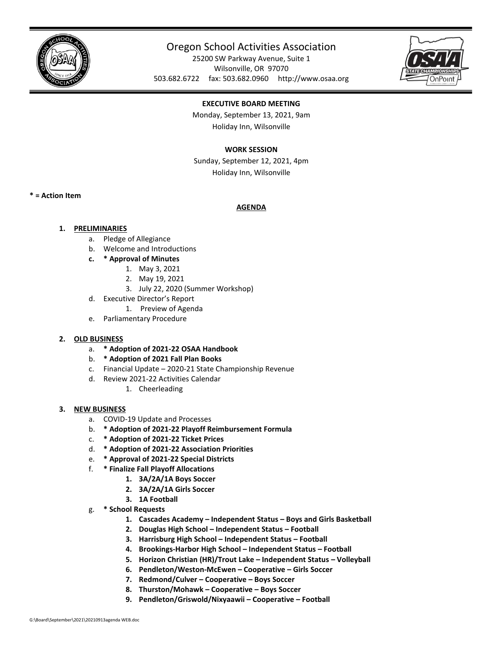

# Oregon School Activities Association

25200 SW Parkway Avenue, Suite 1 Wilsonville, OR 97070 503.682.6722 fax: 503.682.0960 http://www.osaa.org



# **EXECUTIVE BOARD MEETING**

Monday, September 13, 2021, 9am Holiday Inn, Wilsonville

## **WORK SESSION**

Sunday, September 12, 2021, 4pm Holiday Inn, Wilsonville

**\* = Action Item**

### **AGENDA**

### **1. PRELIMINARIES**

- a. Pledge of Allegiance
- b. Welcome and Introductions
- **c. \* Approval of Minutes** 
	- 1. May 3, 2021
	- 2. May 19, 2021
	- 3. July 22, 2020 (Summer Workshop)
- d. Executive Director's Report
	- 1. Preview of Agenda
- e. Parliamentary Procedure
- **2. OLD BUSINESS**
	- a. **\* Adoption of 2021-22 OSAA Handbook**
	- b. **\* Adoption of 2021 Fall Plan Books**
	- c. Financial Update 2020-21 State Championship Revenue
	- d. Review 2021-22 Activities Calendar
		- 1. Cheerleading

### **3. NEW BUSINESS**

- a. COVID-19 Update and Processes
- b. **\* Adoption of 2021-22 Playoff Reimbursement Formula**
- c. **\* Adoption of 2021-22 Ticket Prices**
- d. **\* Adoption of 2021-22 Association Priorities**
- e. **\* Approval of 2021-22 Special Districts**
- f. **\* Finalize Fall Playoff Allocations**
	- **1. 3A/2A/1A Boys Soccer**
	- **2. 3A/2A/1A Girls Soccer**
	- **3. 1A Football**
- g. **\* School Requests**
	- **1. Cascades Academy – Independent Status – Boys and Girls Basketball**
	- **2. Douglas High School – Independent Status – Football**
	- **3. Harrisburg High School – Independent Status – Football**
	- **4. Brookings-Harbor High School – Independent Status – Football**
	- **5. Horizon Christian (HR)/Trout Lake – Independent Status – Volleyball**
	- **6. Pendleton/Weston-McEwen – Cooperative – Girls Soccer**
	- **7. Redmond/Culver – Cooperative – Boys Soccer**
	- **8. Thurston/Mohawk – Cooperative – Boys Soccer**
	- **9. Pendleton/Griswold/Nixyaawii – Cooperative – Football**